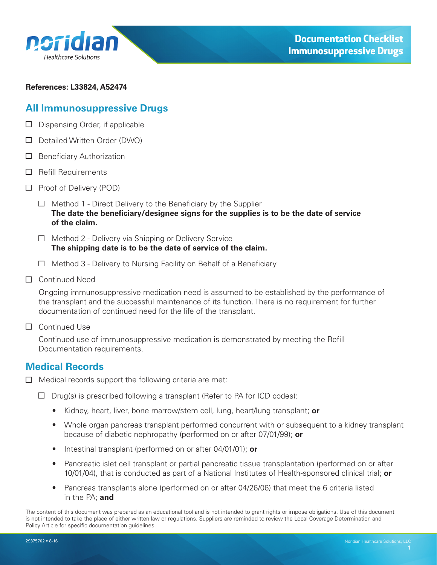<span id="page-0-0"></span>

#### **References: L33824, A52474**

## **All Immunosuppressive Drugs**

- $\Box$  Dispensing Order, if applicable
- D Detailed Written Order (DWO)
- $\Box$  Beneficiary Authorization
- $\Box$  Refill Requirements
- □ Proof of Delivery (POD)
	- $\Box$  Method 1 Direct Delivery to the Beneficiary by the Supplier **The date the beneficiary/designee signs for the supplies is to be the date of service of the claim.**
	- $\Box$  Method 2 Delivery via Shipping or Delivery Service **The shipping date is to be the date of service of the claim.**
	- $\Box$  Method 3 Delivery to Nursing Facility on Behalf of a Beneficiary
- □ Continued Need

Ongoing immunosuppressive medication need is assumed to be established by the performance of the transplant and the successful maintenance of its function. There is no requirement for further documentation of continued need for the life of the transplant.

□ Continued Use

Continued use of immunosuppressive medication is demonstrated by meeting the Refill Documentation requirements.

### **Medical Records**

- $\Box$  Medical records support the following criteria are met:
	- $\Box$  Drug(s) is prescribed following a transplant (Refer to PA for ICD codes):
		- Kidney, heart, liver, bone marrow/stem cell, lung, heart/lung transplant; **or**
		- Whole organ pancreas transplant performed concurrent with or subsequent to a kidney transplant because of diabetic nephropathy (performed on or after 07/01/99); **or**
		- Intestinal transplant (performed on or after 04/01/01); **or**
		- Pancreatic islet cell transplant or partial pancreatic tissue transplantation (performed on or after 10/01/04), that is conducted as part of a National Institutes of Health-sponsored clinical trial; **or**
		- Pancreas transplants alone (performed on or after 04/26/06) that meet the 6 criteria listed in the PA; **and**

The content of this document was prepared as an educational tool and is not intended to grant rights or impose obligations. Use of this document is not intended to take the place of either written law or regulations. Suppliers are reminded to review the Local Coverage Determination and Policy Article for specific documentation guidelines.